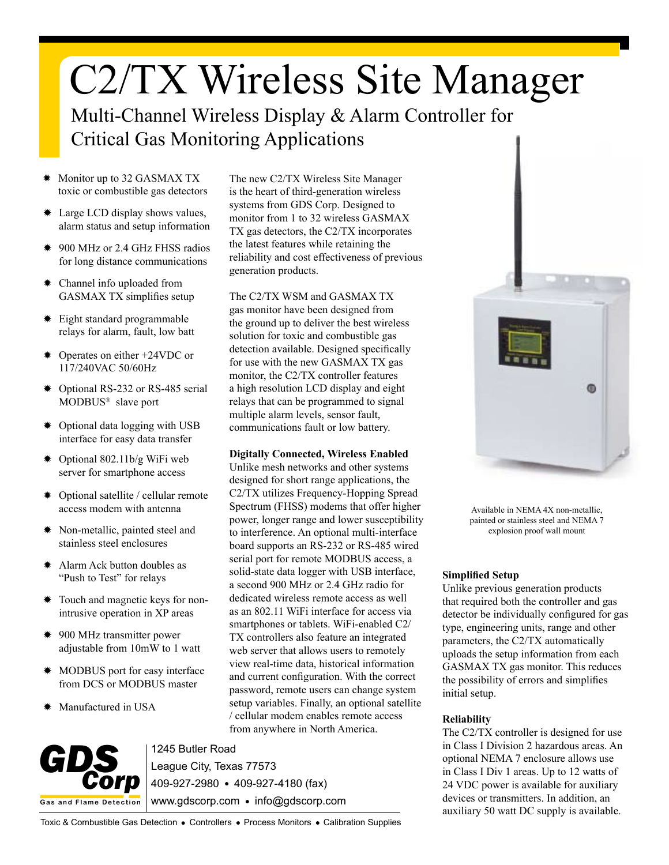# C2/TX Wireless Site Manager

Multi-Channel Wireless Display & Alarm Controller for Critical Gas Monitoring Applications

- Monitor up to 32 GASMAX TX toxic or combustible gas detectors
- ✹ Large LCD display shows values, alarm status and setup information
- ✹ 900 MHz or 2.4 GHz FHSS radios for long distance communications
- ✹ Channel info uploaded from GASMAX TX simplifies setup
- ✹ Eight standard programmable relays for alarm, fault, low batt
- ✹ Operates on either +24VDC or 117/240VAC 50/60Hz
- ✹ Optional RS-232 or RS-485 serial MODBUS® slave port
- ✹ Optional data logging with USB interface for easy data transfer
- ✹ Optional 802.11b/g WiFi web server for smartphone access
- ✹ Optional satellite / cellular remote access modem with antenna
- ✹ Non-metallic, painted steel and stainless steel enclosures
- Alarm Ack button doubles as "Push to Test" for relays
- ✹ Touch and magnetic keys for nonintrusive operation in XP areas
- ✹ 900 MHz transmitter power adjustable from 10mW to 1 watt
- ✹ MODBUS port for easy interface from DCS or MODBUS master
- Manufactured in USA

The new C2/TX Wireless Site Manager is the heart of third-generation wireless systems from GDS Corp. Designed to monitor from 1 to 32 wireless GASMAX TX gas detectors, the C2/TX incorporates the latest features while retaining the reliability and cost effectiveness of previous generation products.

The C2/TX WSM and GASMAX TX gas monitor have been designed from the ground up to deliver the best wireless solution for toxic and combustible gas detection available. Designed specifically for use with the new GASMAX TX gas monitor, the C2/TX controller features a high resolution LCD display and eight relays that can be programmed to signal multiple alarm levels, sensor fault, communications fault or low battery.

### **Digitally Connected, Wireless Enabled**

Unlike mesh networks and other systems designed for short range applications, the C2/TX utilizes Frequency-Hopping Spread Spectrum (FHSS) modems that offer higher power, longer range and lower susceptibility to interference. An optional multi-interface board supports an RS-232 or RS-485 wired serial port for remote MODBUS access, a solid-state data logger with USB interface, a second 900 MHz or 2.4 GHz radio for dedicated wireless remote access as well as an 802.11 WiFi interface for access via smartphones or tablets. WiFi-enabled C2/ TX controllers also feature an integrated web server that allows users to remotely view real-time data, historical information and current configuration. With the correct password, remote users can change system setup variables. Finally, an optional satellite / cellular modem enables remote access from anywhere in North America.



1245 Butler Road League City, Texas 77573 409-927-2980 409-927-4180 (fax) www.gdscorp.com • info@gdscorp.com



Available in NEMA 4X non-metallic, painted or stainless steel and NEMA 7 explosion proof wall mount

#### **Simplified Setup**

Unlike previous generation products that required both the controller and gas detector be individually configured for gas type, engineering units, range and other parameters, the C2/TX automatically uploads the setup information from each GASMAX TX gas monitor. This reduces the possibility of errors and simplifies initial setup.

## **Reliability**

The C2/TX controller is designed for use in Class I Division 2 hazardous areas. An optional NEMA 7 enclosure allows use in Class I Div 1 areas. Up to 12 watts of 24 VDC power is available for auxiliary devices or transmitters. In addition, an auxiliary 50 watt DC supply is available.